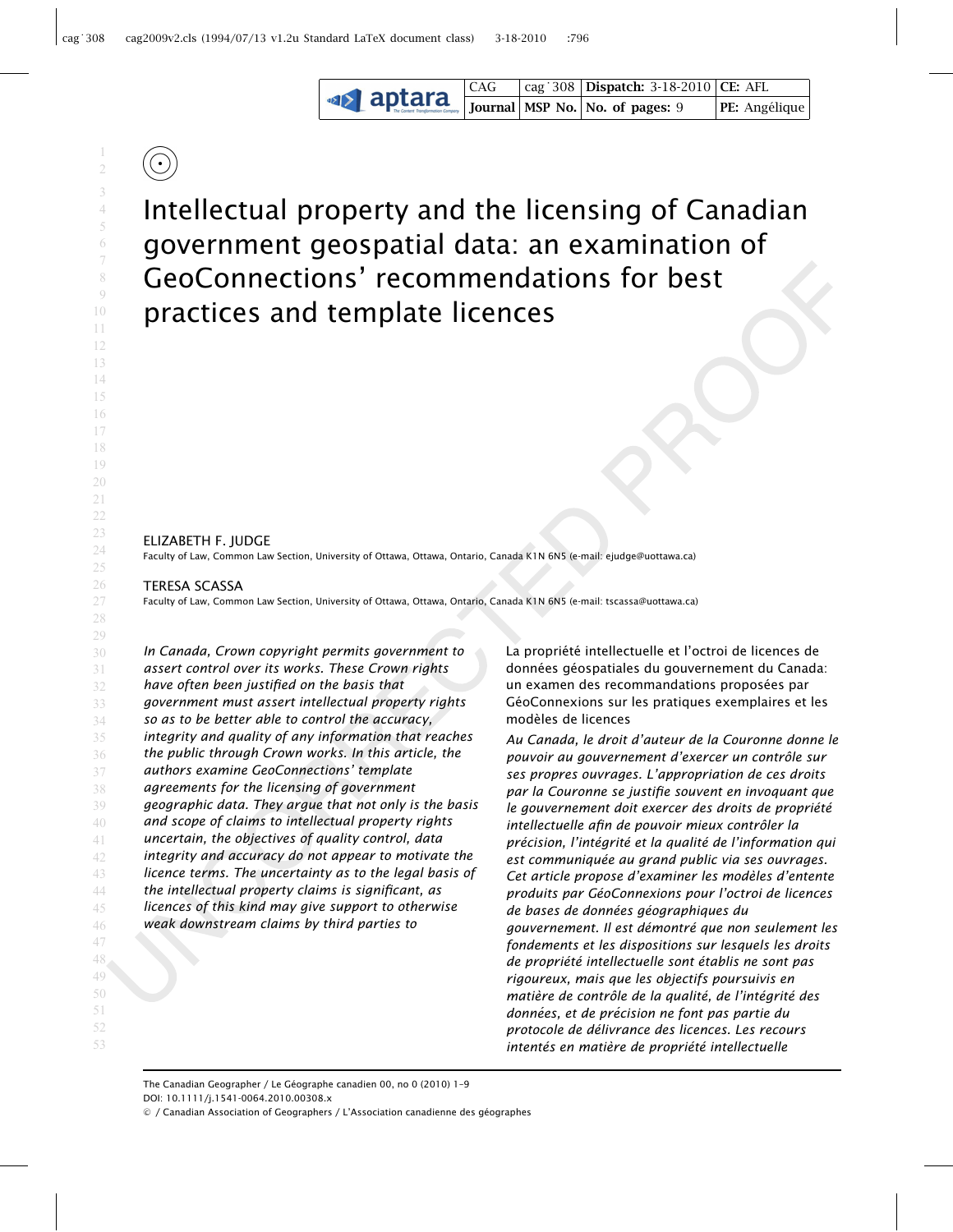

Intellectual property and the licensing of Canadian government geospatial data: an examination of GeoConnections' recommendations for best practices and template licences

#### ELIZABETH F. JUDGE

Faculty of Law, Common Law Section, University of Ottawa, Ottawa, Ontario, Canada K1N 6N5 (e-mail: ejudge@uottawa.ca)

#### TERESA SCASSA

 $\odot$ 

Faculty of Law, Common Law Section, University of Ottawa, Ottawa, Ontario, Canada K1N 6N5 (e-mail: tscassa@uottawa.ca)

*In Canada, Crown copyright permits government to assert control over its works. These Crown rights have often been justified on the basis that government must assert intellectual property rights so as to be better able to control the accuracy, integrity and quality of any information that reaches the public through Crown works. In this article, the authors examine GeoConnections' template agreements for the licensing of government geographic data. They argue that not only is the basis and scope of claims to intellectual property rights uncertain, the objectives of quality control, data integrity and accuracy do not appear to motivate the licence terms. The uncertainty as to the legal basis of the intellectual property claims is significant, as licences of this kind may give support to otherwise weak downstream claims by third parties to*

La propriété intellectuelle et l'octroi de licences de données géospatiales du gouvernement du Canada: un examen des recommandations proposées par GéoConnexions sur les pratiques exemplaires et les modèles de licences

*Au Canada, le droit d'auteur de la Couronne donne le pouvoir au gouvernement d'exercer un contrôle sur ses propres ouvrages. L'appropriation de ces droits par la Couronne se justifie souvent en invoquant que* le gouvernement doit exercer des droits de propriété *intellectuelle afin de pouvoir mieux contrôler la pr´ecision, l'int´egrit´e et la qualit´e de l'information qui est communiqu´ee au grand public via ses ouvrages. Cet article propose d'examiner les mod`eles d'entente produits par G´eoConnexions pour l'octroi de licences de bases de donn´ees g´eographiques du gouvernement. Il est d´emontr´e que non seulement les fondements et les dispositions sur lesquels les droits de propri´et´e intellectuelle sont ´etablis ne sont pas rigoureux, mais que les objectifs poursuivis en matière de contrôle de la qualité, de l'intégrité des donn´ees, et de pr´ecision ne font pas partie du protocole de d´elivrance des licences. Les recours intentés en matière de propriété intellectuelle* 

The Canadian Geographer / Le Géographe canadien 00, no 0 (2010) 1-9

DOI: 10.1111/j.1541-0064.2010.00308.x

© / Canadian Association of Geographers / L'Association canadienne des géographes

51 52 53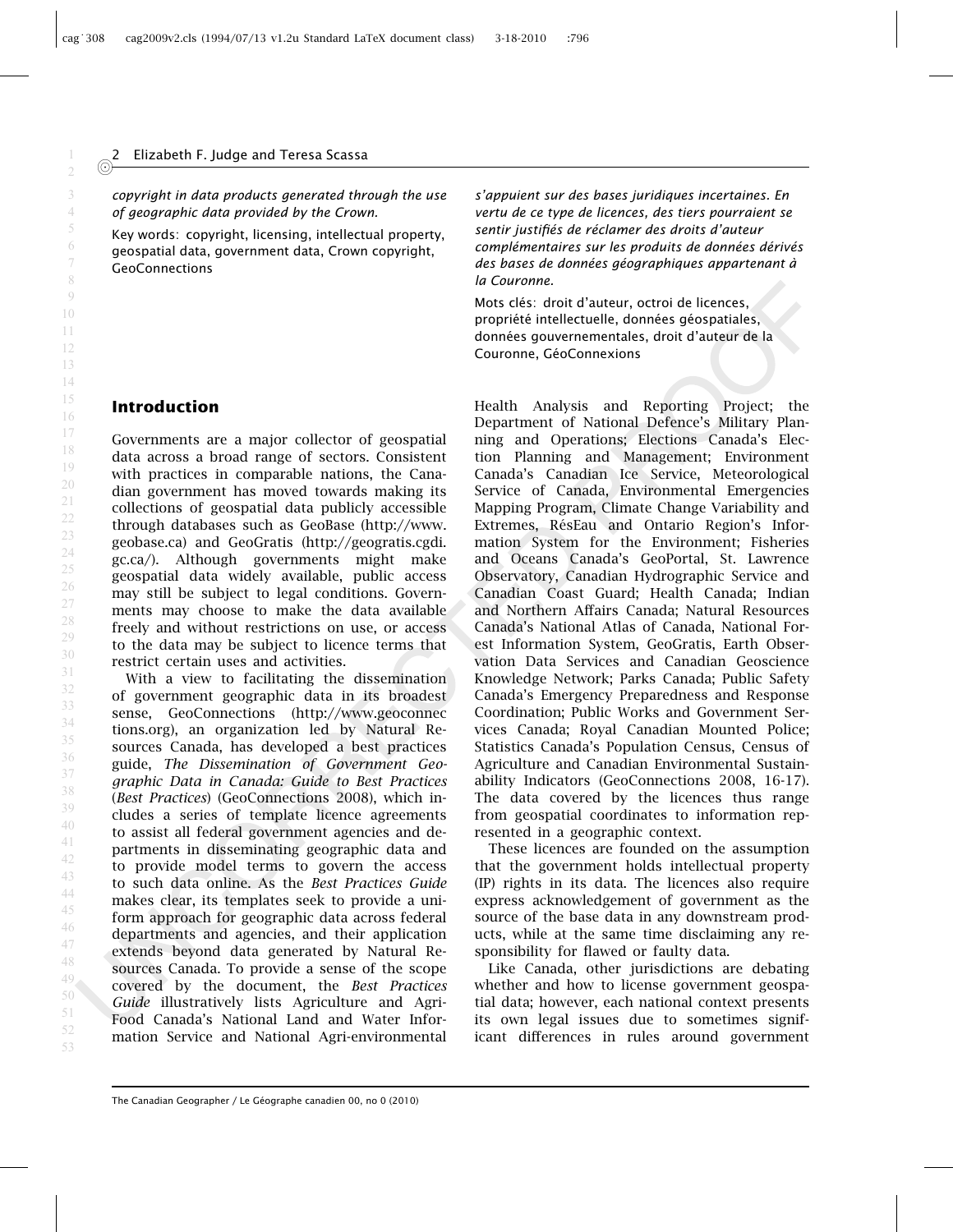*copyright in data products generated through the use of geographic data provided by the Crown.*

Key words: copyright, licensing, intellectual property, geospatial data, government data, Crown copyright, GeoConnections

# **Introduction**

Governments are a major collector of geospatial data across a broad range of sectors. Consistent with practices in comparable nations, the Canadian government has moved towards making its collections of geospatial data publicly accessible through databases such as GeoBase (http://www. geobase.ca) and GeoGratis (http://geogratis.cgdi. gc.ca/). Although governments might make geospatial data widely available, public access may still be subject to legal conditions. Governments may choose to make the data available freely and without restrictions on use, or access to the data may be subject to licence terms that restrict certain uses and activities.

With a view to facilitating the dissemination of government geographic data in its broadest sense, GeoConnections (http://www.geoconnec tions.org), an organization led by Natural Resources Canada, has developed a best practices guide, *The Dissemination of Government Geographic Data in Canada: Guide to Best Practices* (*Best Practices*) (GeoConnections 2008), which includes a series of template licence agreements to assist all federal government agencies and departments in disseminating geographic data and to provide model terms to govern the access to such data online. As the *Best Practices Guide* makes clear, its templates seek to provide a uniform approach for geographic data across federal departments and agencies, and their application extends beyond data generated by Natural Resources Canada. To provide a sense of the scope covered by the document, the *Best Practices Guide* illustratively lists Agriculture and Agri-Food Canada's National Land and Water Information Service and National Agri-environmental

*s'appuient sur des bases juridiques incertaines. En vertu de ce type de licences, des tiers pourraient se sentir justifi´es de r´eclamer des droits d'auteur complémentaires sur les produits de données dérivés des bases de donn´ees g´eographiques appartenant a` la Couronne.*

Mots clés: droit d'auteur, octroi de licences, propriété intellectuelle, données géospatiales, donn´ees gouvernementales, droit d'auteur de la Couronne, GéoConnexions

Health Analysis and Reporting Project; the Department of National Defence's Military Planning and Operations; Elections Canada's Election Planning and Management; Environment Canada's Canadian Ice Service, Meteorological Service of Canada, Environmental Emergencies Mapping Program, Climate Change Variability and Extremes, RésEau and Ontario Region's Information System for the Environment; Fisheries and Oceans Canada's GeoPortal, St. Lawrence Observatory, Canadian Hydrographic Service and Canadian Coast Guard; Health Canada; Indian and Northern Affairs Canada; Natural Resources Canada's National Atlas of Canada, National Forest Information System, GeoGratis, Earth Observation Data Services and Canadian Geoscience Knowledge Network; Parks Canada; Public Safety Canada's Emergency Preparedness and Response Coordination; Public Works and Government Services Canada; Royal Canadian Mounted Police; Statistics Canada's Population Census, Census of Agriculture and Canadian Environmental Sustainability Indicators (GeoConnections 2008, 16-17). The data covered by the licences thus range from geospatial coordinates to information represented in a geographic context.

These licences are founded on the assumption that the government holds intellectual property (IP) rights in its data. The licences also require express acknowledgement of government as the source of the base data in any downstream products, while at the same time disclaiming any responsibility for flawed or faulty data.

Like Canada, other jurisdictions are debating whether and how to license government geospatial data; however, each national context presents its own legal issues due to sometimes significant differences in rules around government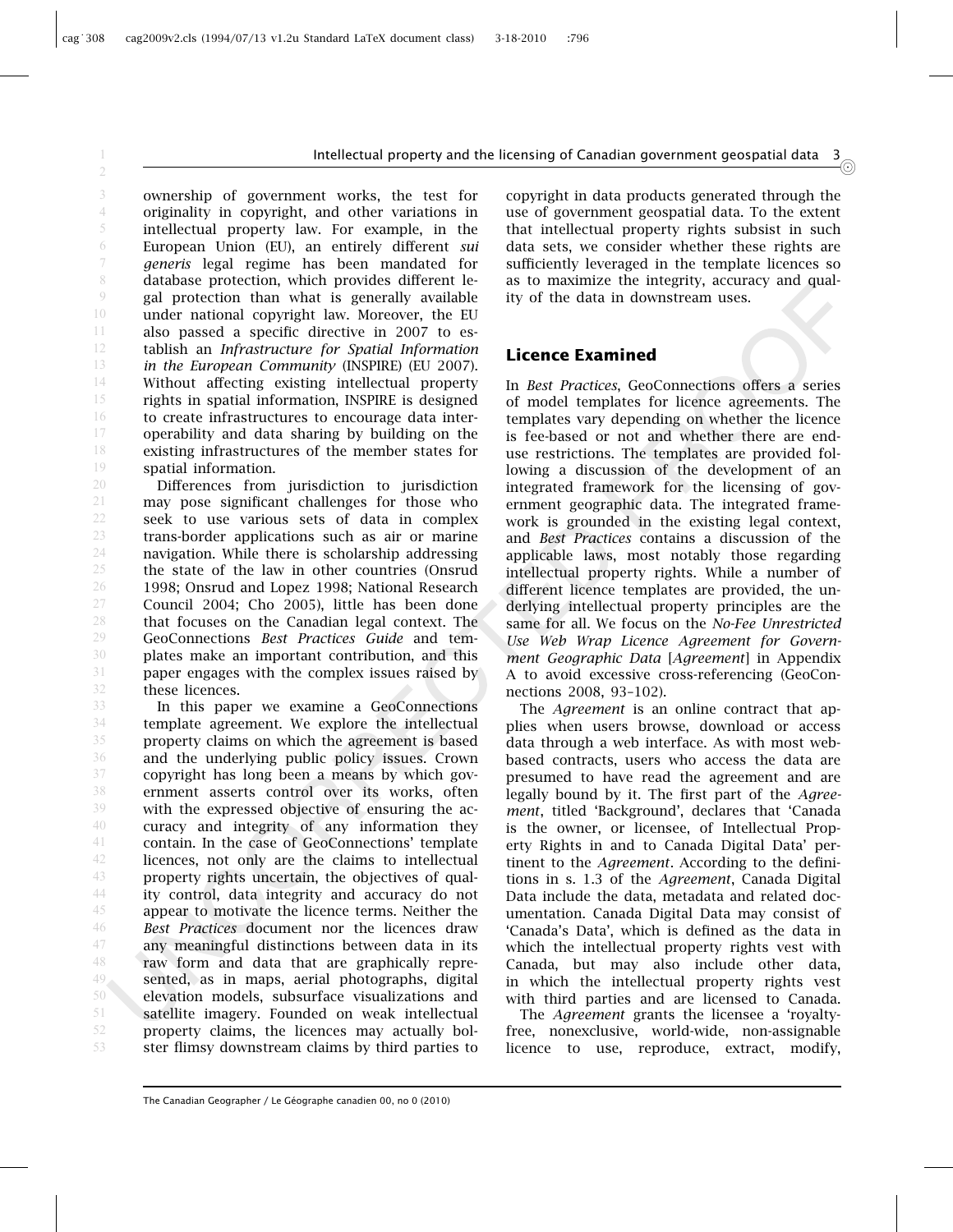ownership of government works, the test for originality in copyright, and other variations in intellectual property law. For example, in the European Union (EU), an entirely different *sui generis* legal regime has been mandated for database protection, which provides different legal protection than what is generally available under national copyright law. Moreover, the EU also passed a specific directive in 2007 to establish an *Infrastructure for Spatial Information in the European Community* (INSPIRE) (EU 2007). Without affecting existing intellectual property rights in spatial information, INSPIRE is designed to create infrastructures to encourage data interoperability and data sharing by building on the existing infrastructures of the member states for spatial information.

20 21 22 23 24 25 26 27 28 29 30 31 Differences from jurisdiction to jurisdiction may pose significant challenges for those who seek to use various sets of data in complex trans-border applications such as air or marine navigation. While there is scholarship addressing the state of the law in other countries (Onsrud 1998; Onsrud and Lopez 1998; National Research Council 2004; Cho 2005), little has been done that focuses on the Canadian legal context. The GeoConnections *Best Practices Guide* and templates make an important contribution, and this paper engages with the complex issues raised by these licences.

33 34 35 36 37 38 39 40 41 42 43 44 45 46 47 48 49 50 51 52 53 In this paper we examine a GeoConnections template agreement. We explore the intellectual property claims on which the agreement is based and the underlying public policy issues. Crown copyright has long been a means by which government asserts control over its works, often with the expressed objective of ensuring the accuracy and integrity of any information they contain. In the case of GeoConnections' template licences, not only are the claims to intellectual property rights uncertain, the objectives of quality control, data integrity and accuracy do not appear to motivate the licence terms. Neither the *Best Practices* document nor the licences draw any meaningful distinctions between data in its raw form and data that are graphically represented, as in maps, aerial photographs, digital elevation models, subsurface visualizations and satellite imagery. Founded on weak intellectual property claims, the licences may actually bolster flimsy downstream claims by third parties to

copyright in data products generated through the use of government geospatial data. To the extent that intellectual property rights subsist in such data sets, we consider whether these rights are sufficiently leveraged in the template licences so as to maximize the integrity, accuracy and quality of the data in downstream uses.

## **Licence Examined**

In *Best Practices*, GeoConnections offers a series of model templates for licence agreements. The templates vary depending on whether the licence is fee-based or not and whether there are enduse restrictions. The templates are provided following a discussion of the development of an integrated framework for the licensing of government geographic data. The integrated framework is grounded in the existing legal context, and *Best Practices* contains a discussion of the applicable laws, most notably those regarding intellectual property rights. While a number of different licence templates are provided, the underlying intellectual property principles are the same for all. We focus on the *No-Fee Unrestricted Use Web Wrap Licence Agreement for Government Geographic Data* [*Agreement*] in Appendix A to avoid excessive cross-referencing (GeoConnections 2008, 93–102).

The *Agreement* is an online contract that applies when users browse, download or access data through a web interface. As with most webbased contracts, users who access the data are presumed to have read the agreement and are legally bound by it. The first part of the *Agreement*, titled 'Background', declares that 'Canada is the owner, or licensee, of Intellectual Property Rights in and to Canada Digital Data' pertinent to the *Agreement*. According to the definitions in s. 1.3 of the *Agreement*, Canada Digital Data include the data, metadata and related documentation. Canada Digital Data may consist of 'Canada's Data', which is defined as the data in which the intellectual property rights vest with Canada, but may also include other data, in which the intellectual property rights vest with third parties and are licensed to Canada.

The *Agreement* grants the licensee a 'royaltyfree, nonexclusive, world-wide, non-assignable licence to use, reproduce, extract, modify,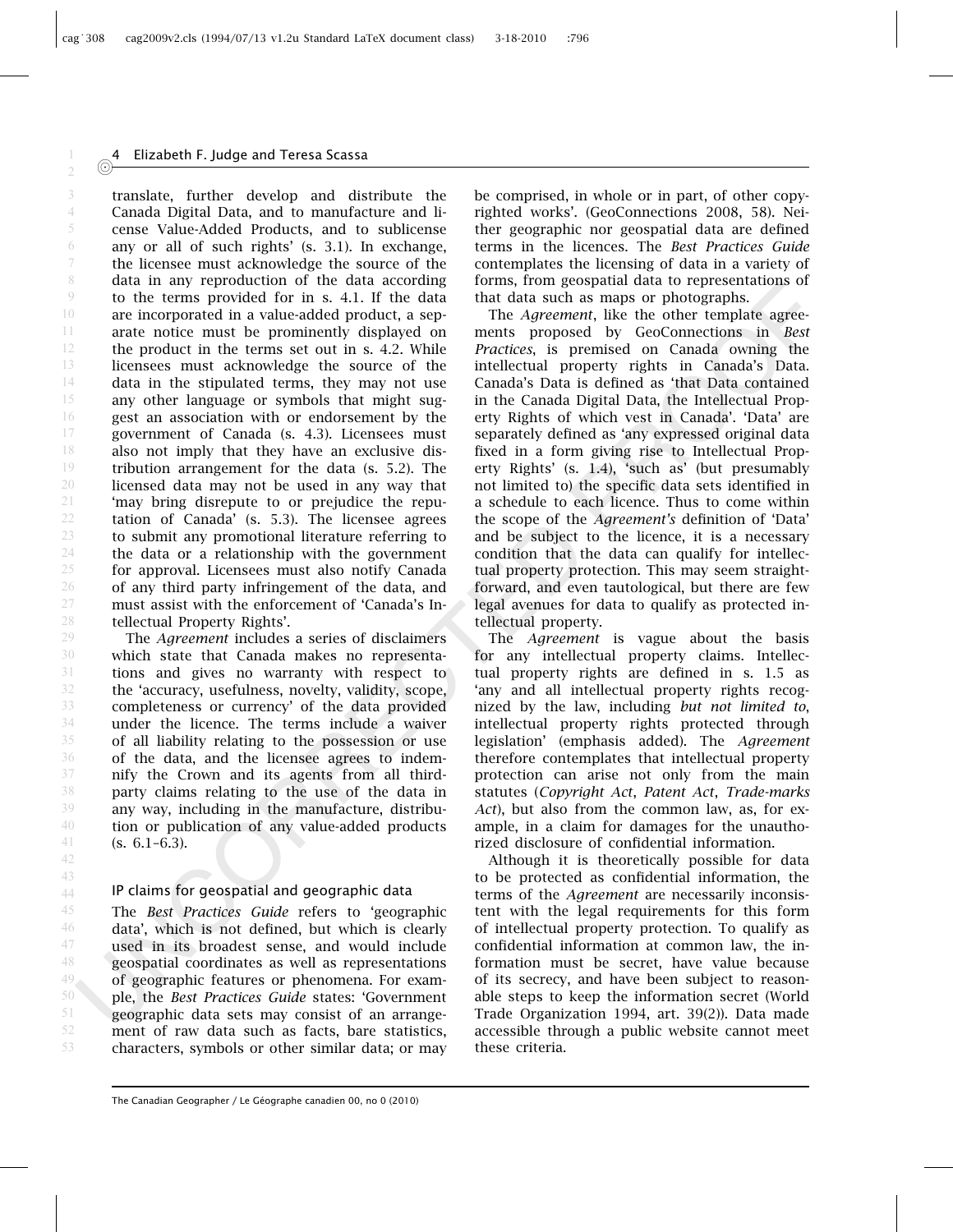#### 4 Elizabeth F. Judge and Teresa Scassa (C

1 2

30 31 32

3 4 5 6 8  $\bigcirc$ 10 11 12 13 14 15 16 17 18 19 20 21 22 23 24 25 26 27 28 29 translate, further develop and distribute the Canada Digital Data, and to manufacture and license Value-Added Products, and to sublicense any or all of such rights' (s. 3.1). In exchange, the licensee must acknowledge the source of the data in any reproduction of the data according to the terms provided for in s. 4.1. If the data are incorporated in a value-added product, a separate notice must be prominently displayed on the product in the terms set out in s. 4.2. While licensees must acknowledge the source of the data in the stipulated terms, they may not use any other language or symbols that might suggest an association with or endorsement by the government of Canada (s. 4.3). Licensees must also not imply that they have an exclusive distribution arrangement for the data (s. 5.2). The licensed data may not be used in any way that 'may bring disrepute to or prejudice the reputation of Canada' (s. 5.3). The licensee agrees to submit any promotional literature referring to the data or a relationship with the government for approval. Licensees must also notify Canada of any third party infringement of the data, and must assist with the enforcement of 'Canada's Intellectual Property Rights'.

The *Agreement* includes a series of disclaimers which state that Canada makes no representations and gives no warranty with respect to the 'accuracy, usefulness, novelty, validity, scope, completeness or currency' of the data provided under the licence. The terms include a waiver of all liability relating to the possession or use of the data, and the licensee agrees to indemnify the Crown and its agents from all thirdparty claims relating to the use of the data in any way, including in the manufacture, distribution or publication of any value-added products (s. 6.1–6.3).

## IP claims for geospatial and geographic data

The *Best Practices Guide* refers to 'geographic data', which is not defined, but which is clearly used in its broadest sense, and would include geospatial coordinates as well as representations of geographic features or phenomena. For example, the *Best Practices Guide* states: 'Government geographic data sets may consist of an arrangement of raw data such as facts, bare statistics, characters, symbols or other similar data; or may

be comprised, in whole or in part, of other copyrighted works'. (GeoConnections 2008, 58). Neither geographic nor geospatial data are defined terms in the licences. The *Best Practices Guide* contemplates the licensing of data in a variety of forms, from geospatial data to representations of that data such as maps or photographs.

The *Agreement*, like the other template agreements proposed by GeoConnections in *Best Practices*, is premised on Canada owning the intellectual property rights in Canada's Data. Canada's Data is defined as 'that Data contained in the Canada Digital Data, the Intellectual Property Rights of which vest in Canada'. 'Data' are separately defined as 'any expressed original data fixed in a form giving rise to Intellectual Property Rights' (s. 1.4), 'such as' (but presumably not limited to) the specific data sets identified in a schedule to each licence. Thus to come within the scope of the *Agreement's* definition of 'Data' and be subject to the licence, it is a necessary condition that the data can qualify for intellectual property protection. This may seem straightforward, and even tautological, but there are few legal avenues for data to qualify as protected intellectual property.

The *Agreement* is vague about the basis for any intellectual property claims. Intellectual property rights are defined in s. 1.5 as 'any and all intellectual property rights recognized by the law, including *but not limited to*, intellectual property rights protected through legislation' (emphasis added). The *Agreement* therefore contemplates that intellectual property protection can arise not only from the main statutes (*Copyright Act*, *Patent Act*, *Trade-marks Act*), but also from the common law, as, for example, in a claim for damages for the unauthorized disclosure of confidential information.

Although it is theoretically possible for data to be protected as confidential information, the terms of the *Agreement* are necessarily inconsistent with the legal requirements for this form of intellectual property protection. To qualify as confidential information at common law, the information must be secret, have value because of its secrecy, and have been subject to reasonable steps to keep the information secret (World Trade Organization 1994, art. 39(2)). Data made accessible through a public website cannot meet these criteria.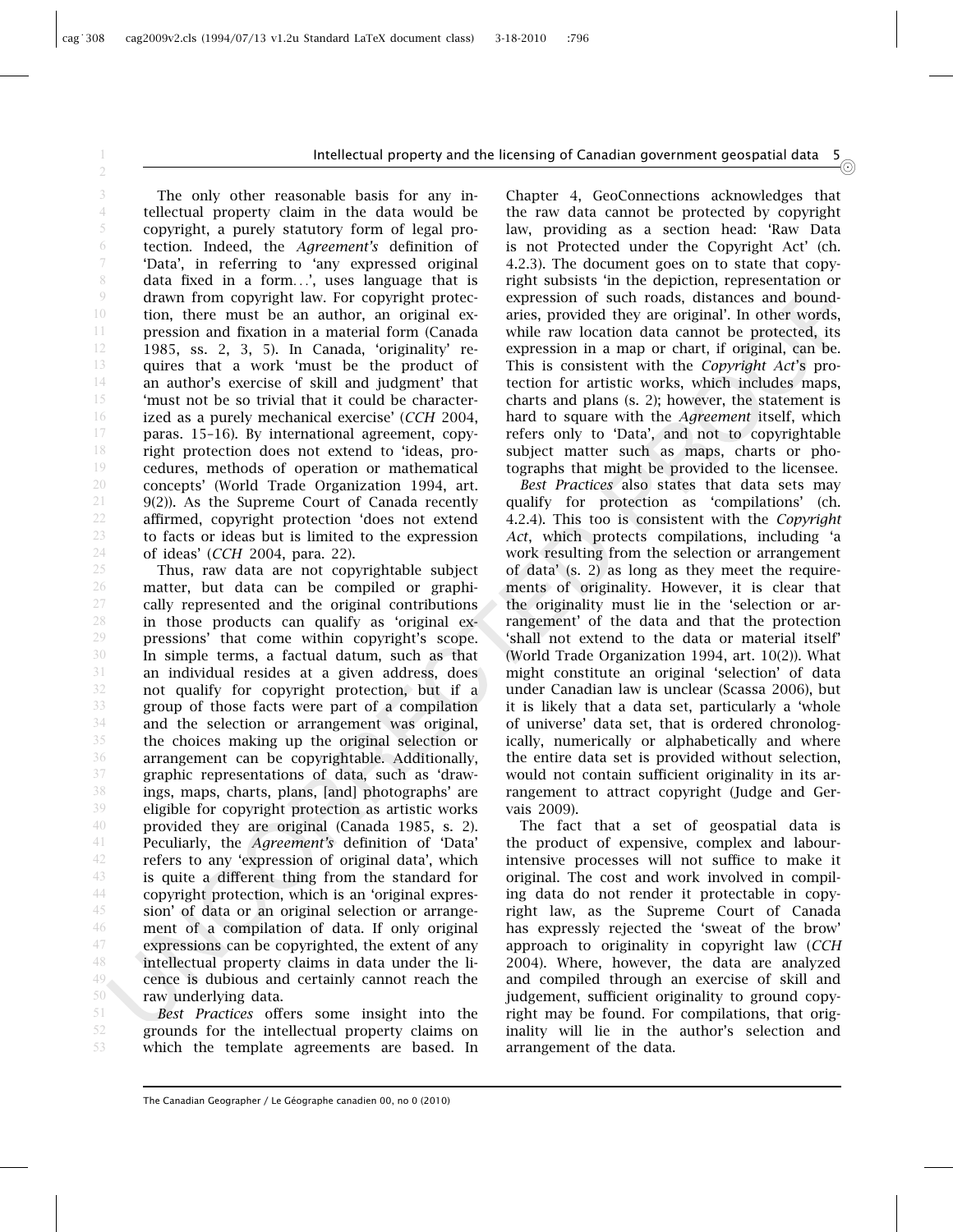The only other reasonable basis for any intellectual property claim in the data would be copyright, a purely statutory form of legal protection. Indeed, the *Agreement's* definition of 'Data', in referring to 'any expressed original data fixed in a form...', uses language that is drawn from copyright law. For copyright protection, there must be an author, an original expression and fixation in a material form (Canada 1985, ss. 2, 3, 5). In Canada, 'originality' requires that a work 'must be the product of an author's exercise of skill and judgment' that 'must not be so trivial that it could be characterized as a purely mechanical exercise' (*CCH* 2004, paras. 15–16). By international agreement, copyright protection does not extend to 'ideas, procedures, methods of operation or mathematical concepts' (World Trade Organization 1994, art. 9(2)). As the Supreme Court of Canada recently affirmed, copyright protection 'does not extend to facts or ideas but is limited to the expression of ideas' (*CCH* 2004, para. 22).

52 53

25 26 27 28 29 30 31 33 34 35 36 37 38 39 40 41 42 43 44 45 46 47 48 49 50 51 Thus, raw data are not copyrightable subject matter, but data can be compiled or graphically represented and the original contributions in those products can qualify as 'original expressions' that come within copyright's scope. In simple terms, a factual datum, such as that an individual resides at a given address, does not qualify for copyright protection, but if a group of those facts were part of a compilation and the selection or arrangement was original, the choices making up the original selection or arrangement can be copyrightable. Additionally, graphic representations of data, such as 'drawings, maps, charts, plans, [and] photographs' are eligible for copyright protection as artistic works provided they are original (Canada 1985, s. 2). Peculiarly, the *Agreement's* definition of 'Data' refers to any 'expression of original data', which is quite a different thing from the standard for copyright protection, which is an 'original expression' of data or an original selection or arrangement of a compilation of data. If only original expressions can be copyrighted, the extent of any intellectual property claims in data under the licence is dubious and certainly cannot reach the raw underlying data.

*Best Practices* offers some insight into the grounds for the intellectual property claims on which the template agreements are based. In Chapter 4, GeoConnections acknowledges that the raw data cannot be protected by copyright law, providing as a section head: 'Raw Data is not Protected under the Copyright Act' (ch. 4.2.3). The document goes on to state that copyright subsists 'in the depiction, representation or expression of such roads, distances and boundaries, provided they are original'. In other words, while raw location data cannot be protected, its expression in a map or chart, if original, can be. This is consistent with the *Copyright Act*'s protection for artistic works, which includes maps, charts and plans (s. 2); however, the statement is hard to square with the *Agreement* itself, which refers only to 'Data', and not to copyrightable subject matter such as maps, charts or photographs that might be provided to the licensee.

*Best Practices* also states that data sets may qualify for protection as 'compilations' (ch. 4.2.4). This too is consistent with the *Copyright Act*, which protects compilations, including 'a work resulting from the selection or arrangement of data' (s. 2) as long as they meet the requirements of originality. However, it is clear that the originality must lie in the 'selection or arrangement' of the data and that the protection 'shall not extend to the data or material itself' (World Trade Organization 1994, art. 10(2)). What might constitute an original 'selection' of data under Canadian law is unclear (Scassa 2006), but it is likely that a data set, particularly a 'whole of universe' data set, that is ordered chronologically, numerically or alphabetically and where the entire data set is provided without selection, would not contain sufficient originality in its arrangement to attract copyright (Judge and Gervais 2009).

The fact that a set of geospatial data is the product of expensive, complex and labourintensive processes will not suffice to make it original. The cost and work involved in compiling data do not render it protectable in copyright law, as the Supreme Court of Canada has expressly rejected the 'sweat of the brow' approach to originality in copyright law (*CCH* 2004). Where, however, the data are analyzed and compiled through an exercise of skill and judgement, sufficient originality to ground copyright may be found. For compilations, that originality will lie in the author's selection and arrangement of the data.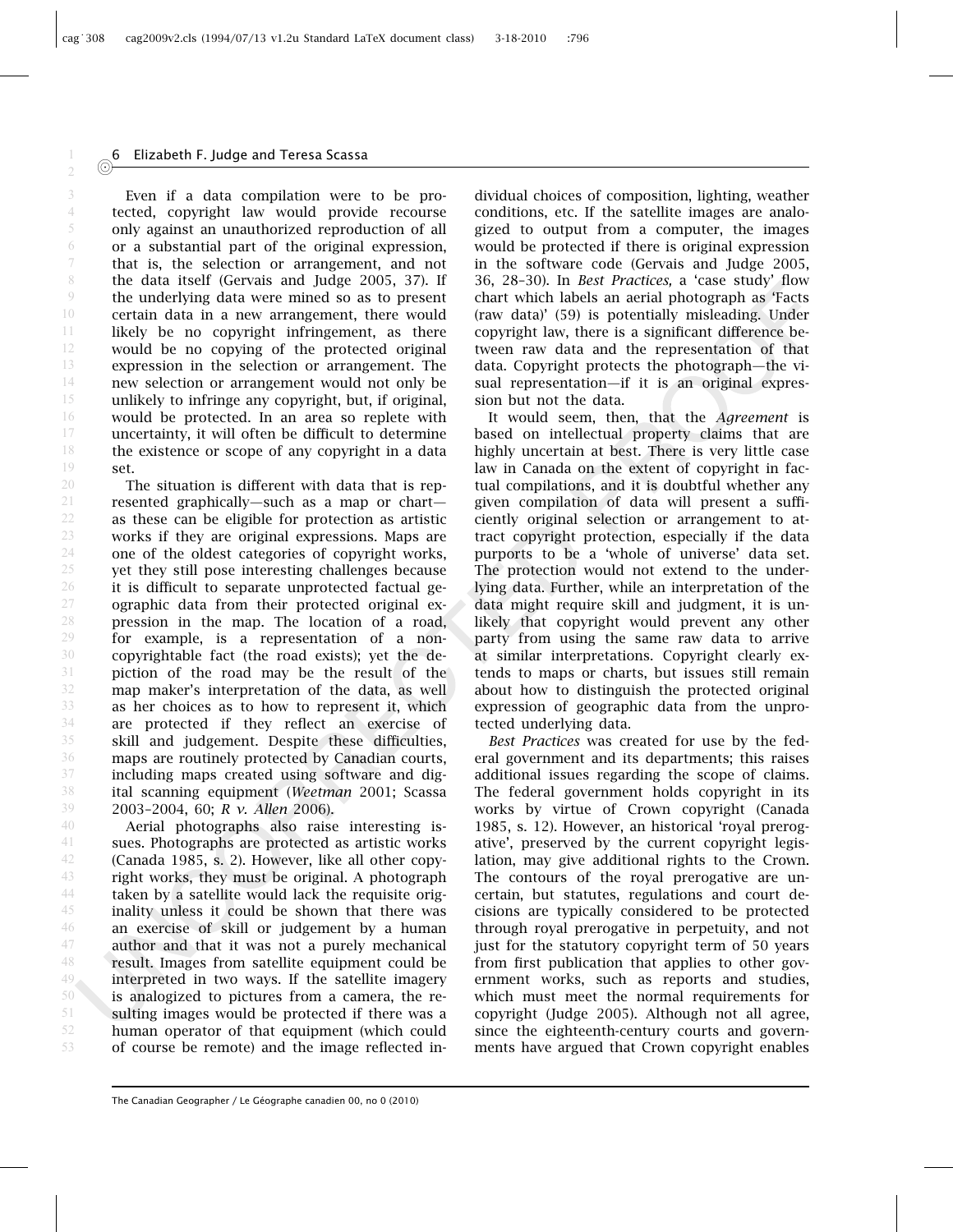### 6 Elizabeth F. Judge and Teresa Scassa

Even if a data compilation were to be protected, copyright law would provide recourse only against an unauthorized reproduction of all or a substantial part of the original expression, that is, the selection or arrangement, and not the data itself (Gervais and Judge 2005, 37). If the underlying data were mined so as to present certain data in a new arrangement, there would likely be no copyright infringement, as there would be no copying of the protected original expression in the selection or arrangement. The new selection or arrangement would not only be unlikely to infringe any copyright, but, if original, would be protected. In an area so replete with uncertainty, it will often be difficult to determine the existence or scope of any copyright in a data set.

The situation is different with data that is represented graphically—such as a map or chart as these can be eligible for protection as artistic works if they are original expressions. Maps are one of the oldest categories of copyright works, yet they still pose interesting challenges because it is difficult to separate unprotected factual geographic data from their protected original expression in the map. The location of a road, for example, is a representation of a noncopyrightable fact (the road exists); yet the depiction of the road may be the result of the map maker's interpretation of the data, as well as her choices as to how to represent it, which are protected if they reflect an exercise of skill and judgement. Despite these difficulties, maps are routinely protected by Canadian courts, including maps created using software and digital scanning equipment (*Weetman* 2001; Scassa 2003–2004, 60; *R v. Allen* 2006).

Aerial photographs also raise interesting issues. Photographs are protected as artistic works (Canada 1985, s. 2). However, like all other copyright works, they must be original. A photograph taken by a satellite would lack the requisite originality unless it could be shown that there was an exercise of skill or judgement by a human author and that it was not a purely mechanical result. Images from satellite equipment could be interpreted in two ways. If the satellite imagery is analogized to pictures from a camera, the resulting images would be protected if there was a human operator of that equipment (which could of course be remote) and the image reflected in-

dividual choices of composition, lighting, weather conditions, etc. If the satellite images are analogized to output from a computer, the images would be protected if there is original expression in the software code (Gervais and Judge 2005, 36, 28–30). In *Best Practices,* a 'case study' flow chart which labels an aerial photograph as 'Facts (raw data)' (59) is potentially misleading. Under copyright law, there is a significant difference between raw data and the representation of that data. Copyright protects the photograph—the visual representation—if it is an original expression but not the data.

It would seem, then, that the *Agreement* is based on intellectual property claims that are highly uncertain at best. There is very little case law in Canada on the extent of copyright in factual compilations, and it is doubtful whether any given compilation of data will present a sufficiently original selection or arrangement to attract copyright protection, especially if the data purports to be a 'whole of universe' data set. The protection would not extend to the underlying data. Further, while an interpretation of the data might require skill and judgment, it is unlikely that copyright would prevent any other party from using the same raw data to arrive at similar interpretations. Copyright clearly extends to maps or charts, but issues still remain about how to distinguish the protected original expression of geographic data from the unprotected underlying data.

*Best Practices* was created for use by the federal government and its departments; this raises additional issues regarding the scope of claims. The federal government holds copyright in its works by virtue of Crown copyright (Canada 1985, s. 12). However, an historical 'royal prerogative', preserved by the current copyright legislation, may give additional rights to the Crown. The contours of the royal prerogative are uncertain, but statutes, regulations and court decisions are typically considered to be protected through royal prerogative in perpetuity, and not just for the statutory copyright term of 50 years from first publication that applies to other government works, such as reports and studies, which must meet the normal requirements for copyright (Judge 2005). Although not all agree, since the eighteenth-century courts and governments have argued that Crown copyright enables

53

ര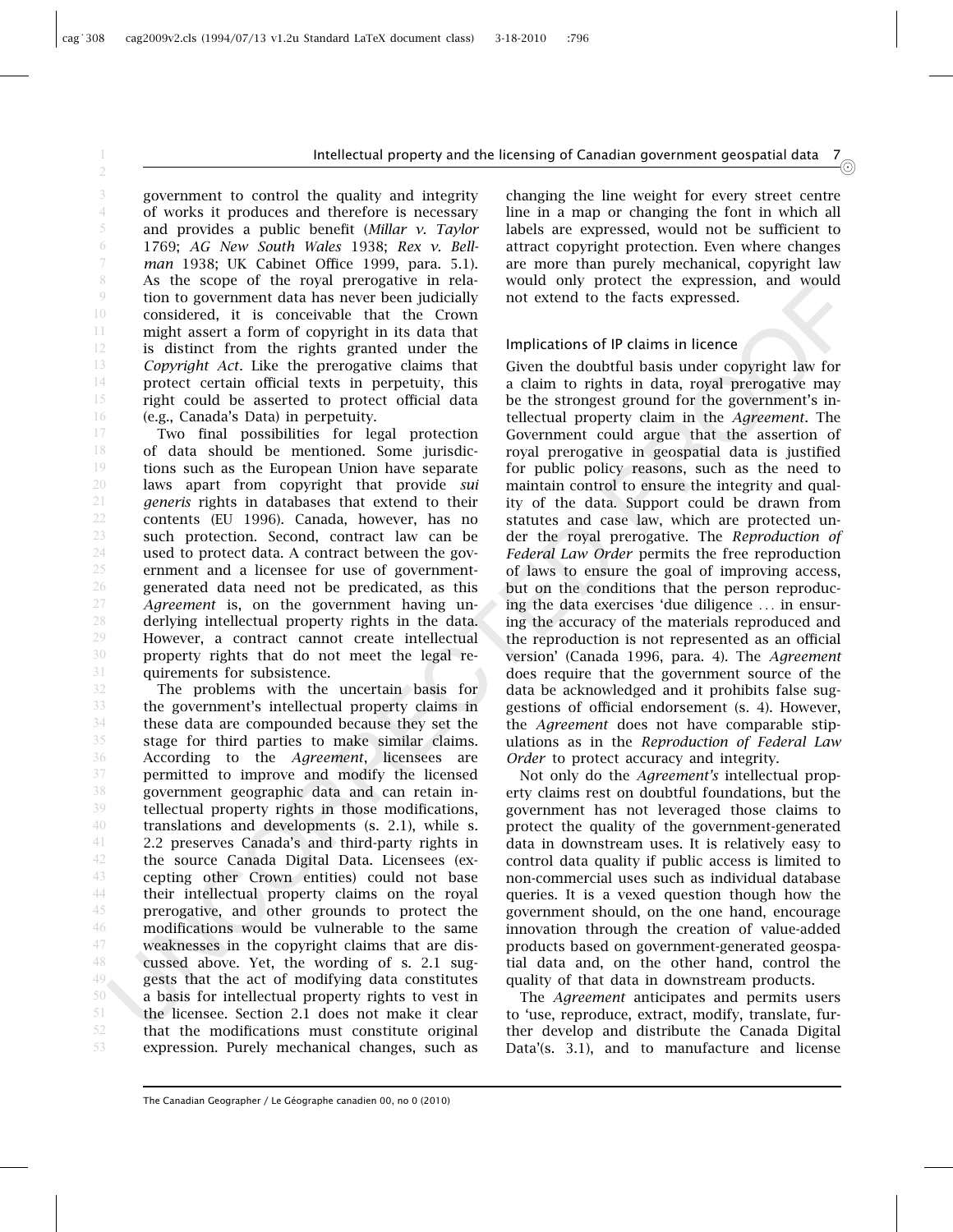government to control the quality and integrity of works it produces and therefore is necessary and provides a public benefit (*Millar v. Taylor* 1769; *AG New South Wales* 1938; *Rex v. Bellman* 1938; UK Cabinet Office 1999, para. 5.1). As the scope of the royal prerogative in relation to government data has never been judicially considered, it is conceivable that the Crown might assert a form of copyright in its data that is distinct from the rights granted under the *Copyright Act*. Like the prerogative claims that protect certain official texts in perpetuity, this right could be asserted to protect official data (e.g., Canada's Data) in perpetuity.

17 18 19 20 21 22 23 24 25 26 27 28 29 30 31 Two final possibilities for legal protection of data should be mentioned. Some jurisdictions such as the European Union have separate laws apart from copyright that provide *sui generis* rights in databases that extend to their contents (EU 1996). Canada, however, has no such protection. Second, contract law can be used to protect data. A contract between the government and a licensee for use of governmentgenerated data need not be predicated, as this *Agreement* is, on the government having underlying intellectual property rights in the data. However, a contract cannot create intellectual property rights that do not meet the legal requirements for subsistence.

32 33 34 35 36 37 38 39 40 41 42 43 44 45 46 47 48 49 50 51 52 53 The problems with the uncertain basis for the government's intellectual property claims in these data are compounded because they set the stage for third parties to make similar claims. According to the *Agreement*, licensees are permitted to improve and modify the licensed government geographic data and can retain intellectual property rights in those modifications, translations and developments (s. 2.1), while s. 2.2 preserves Canada's and third-party rights in the source Canada Digital Data. Licensees (excepting other Crown entities) could not base their intellectual property claims on the royal prerogative, and other grounds to protect the modifications would be vulnerable to the same weaknesses in the copyright claims that are discussed above. Yet, the wording of s. 2.1 suggests that the act of modifying data constitutes a basis for intellectual property rights to vest in the licensee. Section 2.1 does not make it clear that the modifications must constitute original expression. Purely mechanical changes, such as

changing the line weight for every street centre line in a map or changing the font in which all labels are expressed, would not be sufficient to attract copyright protection. Even where changes are more than purely mechanical, copyright law would only protect the expression, and would not extend to the facts expressed.

## Implications of IP claims in licence

Given the doubtful basis under copyright law for a claim to rights in data, royal prerogative may be the strongest ground for the government's intellectual property claim in the *Agreement*. The Government could argue that the assertion of royal prerogative in geospatial data is justified for public policy reasons, such as the need to maintain control to ensure the integrity and quality of the data. Support could be drawn from statutes and case law, which are protected under the royal prerogative. The *Reproduction of Federal Law Order* permits the free reproduction of laws to ensure the goal of improving access, but on the conditions that the person reproducing the data exercises 'due diligence ... in ensuring the accuracy of the materials reproduced and the reproduction is not represented as an official version' (Canada 1996, para. 4). The *Agreement* does require that the government source of the data be acknowledged and it prohibits false suggestions of official endorsement (s. 4). However, the *Agreement* does not have comparable stipulations as in the *Reproduction of Federal Law Order* to protect accuracy and integrity.

Not only do the *Agreement's* intellectual property claims rest on doubtful foundations, but the government has not leveraged those claims to protect the quality of the government-generated data in downstream uses. It is relatively easy to control data quality if public access is limited to non-commercial uses such as individual database queries. It is a vexed question though how the government should, on the one hand, encourage innovation through the creation of value-added products based on government-generated geospatial data and, on the other hand, control the quality of that data in downstream products.

The *Agreement* anticipates and permits users to 'use, reproduce, extract, modify, translate, further develop and distribute the Canada Digital Data'(s. 3.1), and to manufacture and license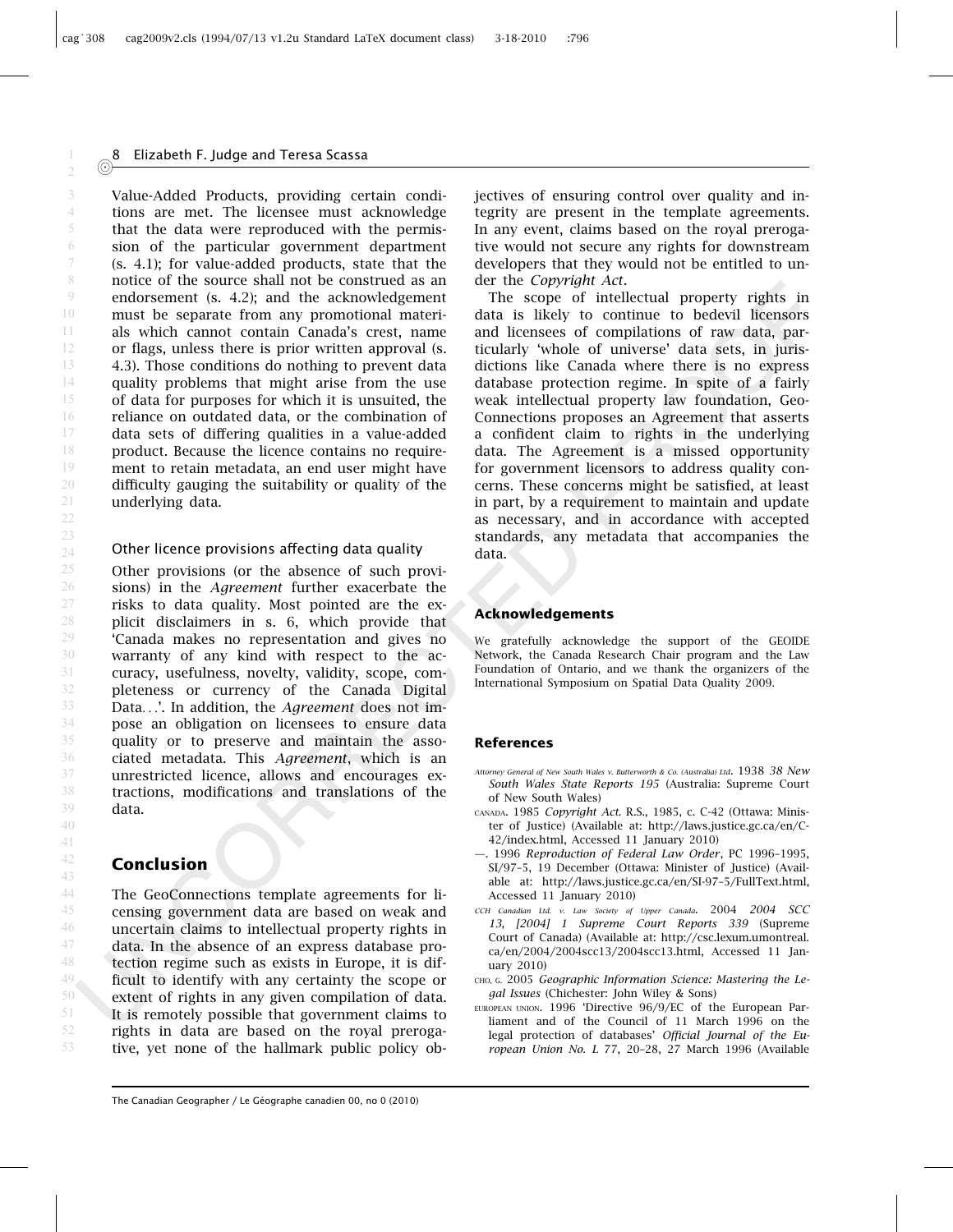#### 8 Elizabeth F. Judge and Teresa Scassa (C

11

21

32

34

8  $\bigcirc$ 10 12 13 14 15 16 17 18 19 20 22 Value-Added Products, providing certain conditions are met. The licensee must acknowledge that the data were reproduced with the permission of the particular government department (s. 4.1); for value-added products, state that the notice of the source shall not be construed as an endorsement (s. 4.2); and the acknowledgement must be separate from any promotional materials which cannot contain Canada's crest, name or flags, unless there is prior written approval (s. 4.3). Those conditions do nothing to prevent data quality problems that might arise from the use of data for purposes for which it is unsuited, the reliance on outdated data, or the combination of data sets of differing qualities in a value-added product. Because the licence contains no requirement to retain metadata, an end user might have difficulty gauging the suitability or quality of the underlying data.

## Other licence provisions affecting data quality

Other provisions (or the absence of such provisions) in the *Agreement* further exacerbate the risks to data quality. Most pointed are the explicit disclaimers in s. 6, which provide that 'Canada makes no representation and gives no warranty of any kind with respect to the accuracy, usefulness, novelty, validity, scope, completeness or currency of the Canada Digital Data...'. In addition, the *Agreement* does not impose an obligation on licensees to ensure data quality or to preserve and maintain the associated metadata. This *Agreement*, which is an unrestricted licence, allows and encourages extractions, modifications and translations of the data.

## **Conclusion**

The GeoConnections template agreements for licensing government data are based on weak and uncertain claims to intellectual property rights in data. In the absence of an express database protection regime such as exists in Europe, it is difficult to identify with any certainty the scope or extent of rights in any given compilation of data. It is remotely possible that government claims to rights in data are based on the royal prerogative, yet none of the hallmark public policy objectives of ensuring control over quality and integrity are present in the template agreements. In any event, claims based on the royal prerogative would not secure any rights for downstream developers that they would not be entitled to under the *Copyright Act*.

The scope of intellectual property rights in data is likely to continue to bedevil licensors and licensees of compilations of raw data, particularly 'whole of universe' data sets, in jurisdictions like Canada where there is no express database protection regime. In spite of a fairly weak intellectual property law foundation, Geo-Connections proposes an Agreement that asserts a confident claim to rights in the underlying data. The Agreement is a missed opportunity for government licensors to address quality concerns. These concerns might be satisfied, at least in part, by a requirement to maintain and update as necessary, and in accordance with accepted standards, any metadata that accompanies the data.

## **Acknowledgements**

We gratefully acknowledge the support of the GEOIDE Network, the Canada Research Chair program and the Law Foundation of Ontario, and we thank the organizers of the International Symposium on Spatial Data Quality 2009.

## **References**

- *Attorney General of New South Wales v. Butterworth & Co. (Australia) Ltd*. 1938 *38 New South Wales State Reports 195* (Australia: Supreme Court of New South Wales)
- CANADA. 1985 *Copyright Act.* R.S., 1985, c. C-42 (Ottawa: Minister of Justice) (Available at: http://laws.justice.gc.ca/en/C-42/index.html, Accessed 11 January 2010)
- —. 1996 *Reproduction of Federal Law Order*, PC 1996–1995, SI/97–5, 19 December (Ottawa: Minister of Justice) (Available at: http://laws.justice.gc.ca/en/SI-97–5/FullText.html, Accessed 11 January 2010)
- *CCH Canadian Ltd. v. Law Society of Upper Canada*. 2004 *2004 SCC 13, [2004] 1 Supreme Court Reports 339* (Supreme Court of Canada) (Available at: http://csc.lexum.umontreal. ca/en/2004/2004scc13/2004scc13.html, Accessed 11 January 2010)
- CHO, G. 2005 *Geographic Information Science: Mastering the Legal Issues* (Chichester: John Wiley & Sons)
- EUROPEAN UNION. 1996 'Directive 96/9/EC of the European Parliament and of the Council of 11 March 1996 on the legal protection of databases' *Official Journal of the European Union No. L* 77, 20–28, 27 March 1996 (Available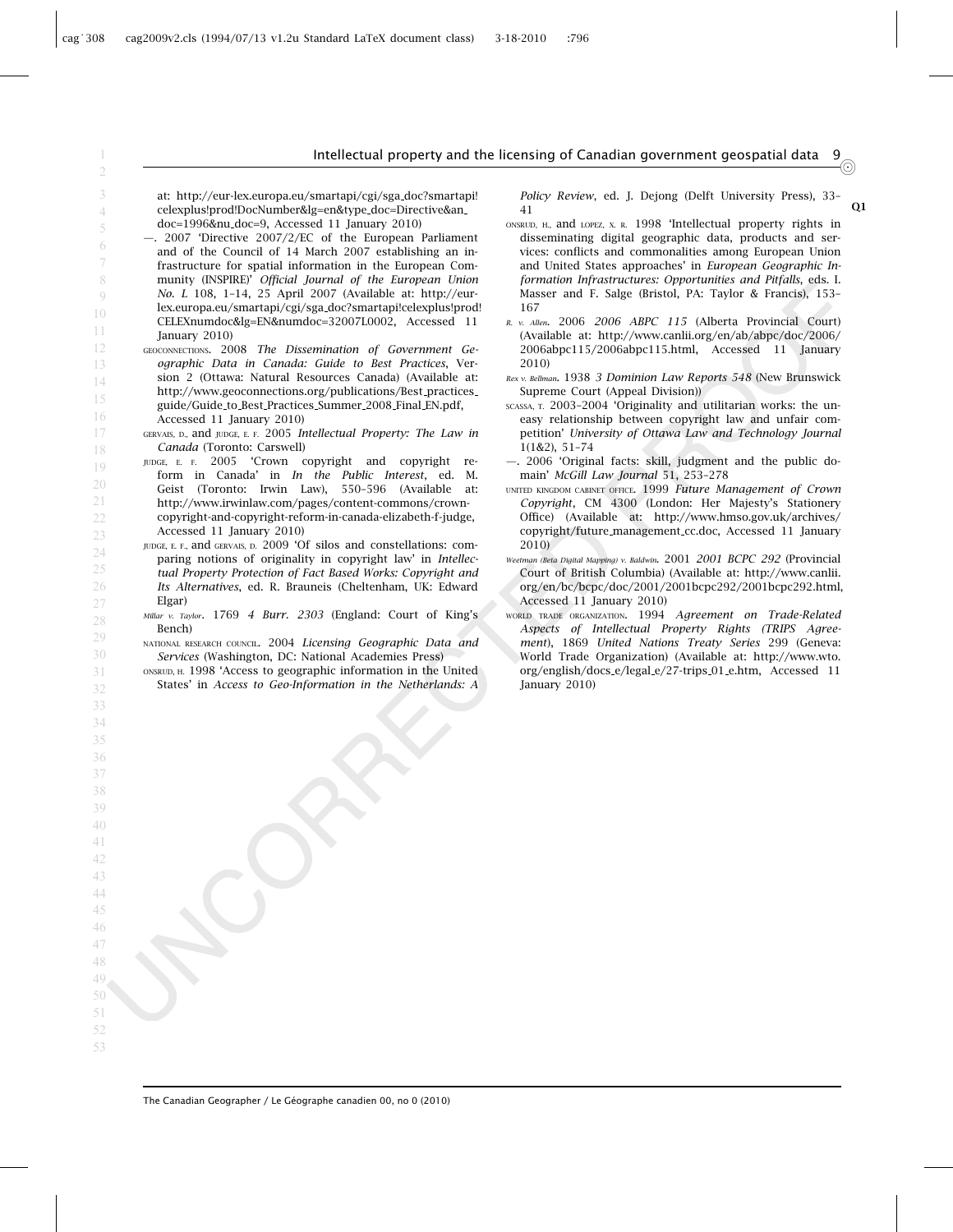1

53

#### Intellectual property and the licensing of Canadian government geospatial data 9 ⊙

2 3 4 5 6 7 8 10 11 12 13 14 15 16 17 18 20 21 22 23 24 25 26 27 28  $29$ 31 34 36 37 38 40 41 42 43 45 46 47 48 49 50 51 52 at: http://eur-lex.europa.eu/smartapi/cgi/sga doc?smartapi! celexplus!prod!DocNumber&lg=en&type doc=Directive&an doc=1996&nu doc=9, Accessed 11 January 2010) —. 2007 'Directive 2007/2/EC of the European Parliament and of the Council of 14 March 2007 establishing an infrastructure for spatial information in the European Community (INSPIRE)' *Official Journal of the European Union No. L* 108, 1–14, 25 April 2007 (Available at: http://eurlex.europa.eu/smartapi/cgi/sga doc?smartapi!celexplus!prod! CELEXnumdoc&lg=EN&numdoc=32007L0002, Accessed 11 January 2010) GEOCONNECTIONS. 2008 *The Dissemination of Government Geographic Data in Canada: Guide to Best Practices*, Version 2 (Ottawa: Natural Resources Canada) (Available at: http://www.geoconnections.org/publications/Best practices guide/Guide to Best Practices Summer 2008 Final EN.pdf, Accessed 11 January 2010) GERVAIS, D., and JUDGE, E. F. 2005 *Intellectual Property: The Law in Canada* (Toronto: Carswell) JUDGE, E. F. 2005 'Crown copyright and copyright reform in Canada' in *In the Public Interest*, ed. M. Geist (Toronto: Irwin Law), 550–596 (Available at: http://www.irwinlaw.com/pages/content-commons/crowncopyright-and-copyright-reform-in-canada-elizabeth-f-judge, Accessed 11 January 2010) JUDGE, E. F., and GERVAIS, D. 2009 'Of silos and constellations: comparing notions of originality in copyright law' in *Intellectual Property Protection of Fact Based Works: Copyright and Its Alternatives*, ed. R. Brauneis (Cheltenham, UK: Edward Elgar) *Millar v. Taylor*. 1769 *4 Burr. 2303* (England: Court of King's Bench) NATIONAL RESEARCH COUNCIL. 2004 *Licensing Geographic Data and Services* (Washington, DC: National Academies Press) ONSRUD, H. 1998 'Access to geographic information in the United States' in *Access to Geo-Information in the Netherlands: A*

*Policy Review*, ed. J. Dejong (Delft University Press), 33– 41 **Q1**

- ONSRUD, H., and LOPEZ, X. R. 1998 'Intellectual property rights in disseminating digital geographic data, products and services: conflicts and commonalities among European Union and United States approaches' in *European Geographic Information Infrastructures: Opportunities and Pitfalls*, eds. I. Masser and F. Salge (Bristol, PA: Taylor & Francis), 153– 167
- *R. v. Allen*. 2006 *2006 ABPC 115* (Alberta Provincial Court) (Available at: http://www.canlii.org/en/ab/abpc/doc/2006/ 2006abpc115/2006abpc115.html, Accessed 11 January 2010)
- *Rex v. Bellman*. 1938 *3 Dominion Law Reports 548* (New Brunswick Supreme Court (Appeal Division))
- scassa,  $\pi$ . 2003-2004 'Originality and utilitarian works: the uneasy relationship between copyright law and unfair competition' *University of Ottawa Law and Technology Journal* 1(1&2), 51–74
- —. 2006 'Original facts: skill, judgment and the public domain' *McGill Law Journal* 51, 253–278
- UNITED KINGDOM CABINET OFFICE. 1999 *Future Management of Crown Copyright*, CM 4300 (London: Her Majesty's Stationery Office) (Available at: http://www.hmso.gov.uk/archives/ copyright/future management cc.doc, Accessed 11 January 2010)
- *Weetman (Beta Digital Mapping) v. Baldwin*. 2001 *2001 BCPC 292* (Provincial Court of British Columbia) (Available at: http://www.canlii. org/en/bc/bcpc/doc/2001/2001bcpc292/2001bcpc292.html, Accessed 11 January 2010)
- WORLD TRADE ORGANIZATION. 1994 *Agreement on Trade-Related Aspects of Intellectual Property Rights (TRIPS Agreement*), 1869 *United Nations Treaty Series* 299 (Geneva: World Trade Organization) (Available at: http://www.wto. org/english/docs e/legal e/27-trips 01 e.htm, Accessed 11 January 2010)